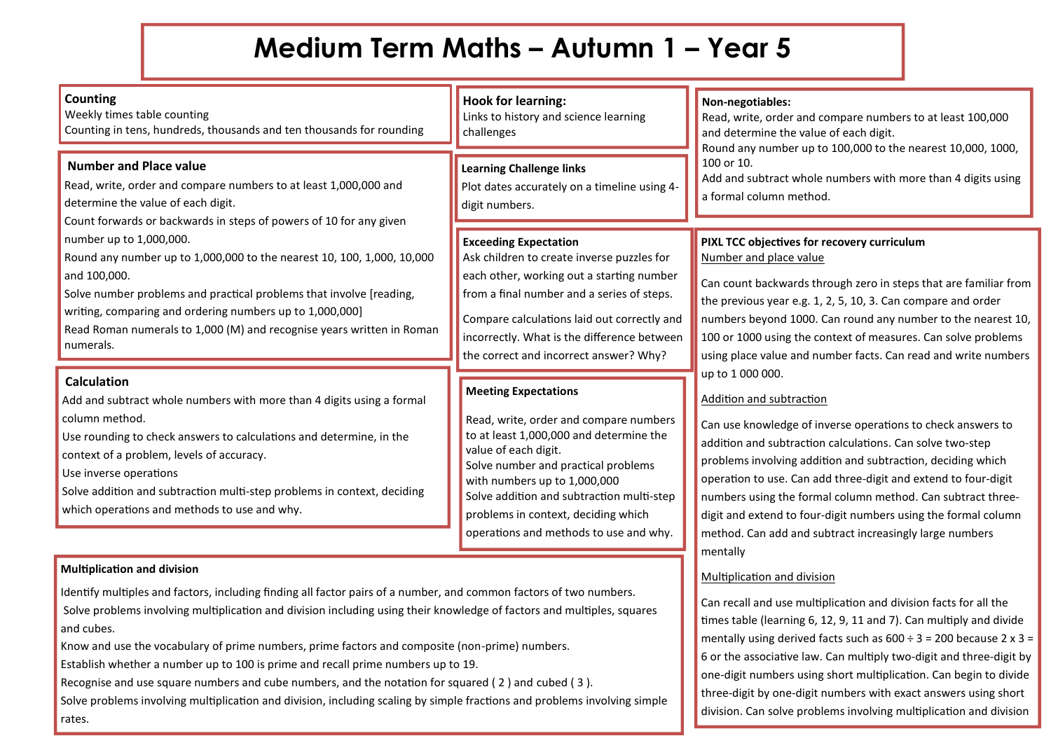## **Medium Term Maths – Autumn 1 – Year 5**

| <b>Counting</b><br>Weekly times table counting<br>Counting in tens, hundreds, thousands and ten thousands for rounding                                                                                                                                                                                                                                                                                                                                                                                                                                      | <b>Hook for learning:</b><br>Links to history and science learning<br>challenges                                                                                                                                                                                                                                                              | Non-negotiables:<br>Read, write, order and compare numbers to at least 100,000<br>and determine the value of each digit.<br>Round any number up to 100,000 to the nearest 10,000, 1000,<br>100 or 10.<br>Add and subtract whole numbers with more than 4 digits using<br>a formal column method.                                                                                                                                                                                                                                                                                                                                                                                                                                                                                                                                                                                                                                  |
|-------------------------------------------------------------------------------------------------------------------------------------------------------------------------------------------------------------------------------------------------------------------------------------------------------------------------------------------------------------------------------------------------------------------------------------------------------------------------------------------------------------------------------------------------------------|-----------------------------------------------------------------------------------------------------------------------------------------------------------------------------------------------------------------------------------------------------------------------------------------------------------------------------------------------|-----------------------------------------------------------------------------------------------------------------------------------------------------------------------------------------------------------------------------------------------------------------------------------------------------------------------------------------------------------------------------------------------------------------------------------------------------------------------------------------------------------------------------------------------------------------------------------------------------------------------------------------------------------------------------------------------------------------------------------------------------------------------------------------------------------------------------------------------------------------------------------------------------------------------------------|
| <b>Number and Place value</b><br>Read, write, order and compare numbers to at least 1,000,000 and<br>determine the value of each digit.<br>Count forwards or backwards in steps of powers of 10 for any given<br>number up to 1,000,000.<br>Round any number up to 1,000,000 to the nearest 10, 100, 1,000, 10,000<br>and 100,000.<br>Solve number problems and practical problems that involve [reading,<br>writing, comparing and ordering numbers up to 1,000,000]<br>Read Roman numerals to 1,000 (M) and recognise years written in Roman<br>numerals. | <b>Learning Challenge links</b><br>Plot dates accurately on a timeline using 4-<br>digit numbers.                                                                                                                                                                                                                                             |                                                                                                                                                                                                                                                                                                                                                                                                                                                                                                                                                                                                                                                                                                                                                                                                                                                                                                                                   |
|                                                                                                                                                                                                                                                                                                                                                                                                                                                                                                                                                             | <b>Exceeding Expectation</b><br>Ask children to create inverse puzzles for<br>each other, working out a starting number<br>from a final number and a series of steps.<br>Compare calculations laid out correctly and<br>incorrectly. What is the difference between<br>the correct and incorrect answer? Why?                                 | PIXL TCC objectives for recovery curriculum<br>Number and place value<br>Can count backwards through zero in steps that are familiar from<br>the previous year e.g. 1, 2, 5, 10, 3. Can compare and order<br>numbers beyond 1000. Can round any number to the nearest 10,<br>100 or 1000 using the context of measures. Can solve problems<br>using place value and number facts. Can read and write numbers<br>up to 1 000 000.<br>Addition and subtraction<br>Can use knowledge of inverse operations to check answers to<br>addition and subtraction calculations. Can solve two-step<br>problems involving addition and subtraction, deciding which<br>operation to use. Can add three-digit and extend to four-digit<br>numbers using the formal column method. Can subtract three-<br>digit and extend to four-digit numbers using the formal column<br>method. Can add and subtract increasingly large numbers<br>mentally |
| <b>Calculation</b><br>Add and subtract whole numbers with more than 4 digits using a formal<br>column method.<br>Use rounding to check answers to calculations and determine, in the<br>context of a problem, levels of accuracy.<br>Use inverse operations<br>Solve addition and subtraction multi-step problems in context, deciding<br>which operations and methods to use and why.                                                                                                                                                                      | <b>Meeting Expectations</b><br>Read, write, order and compare numbers<br>to at least 1,000,000 and determine the<br>value of each digit.<br>Solve number and practical problems<br>with numbers up to 1,000,000<br>Solve addition and subtraction multi-step<br>problems in context, deciding which<br>operations and methods to use and why. |                                                                                                                                                                                                                                                                                                                                                                                                                                                                                                                                                                                                                                                                                                                                                                                                                                                                                                                                   |
| <b>Multiplication and division</b><br>Identify multiples and factors, including finding all factor pairs of a number, and common factors of two numbers.<br>Solve problems involving multiplication and division including using their knowledge of factors and multiples, squares<br>and cubes.<br>Know and use the vocabulary of prime numbers, prime factors and composite (non-prime) numbers.                                                                                                                                                          |                                                                                                                                                                                                                                                                                                                                               | Multiplication and division<br>Can recall and use multiplication and division facts for all the<br>times table (learning 6, 12, 9, 11 and 7). Can multiply and divide<br>mentally using derived facts such as $600 \div 3 = 200$ because 2 x 3 =<br>6 or the associative law. Can multiply two-digit and three-digit by                                                                                                                                                                                                                                                                                                                                                                                                                                                                                                                                                                                                           |

one-digit numbers using short multiplication. Can begin to divide three-digit by one-digit numbers with exact answers using short division. Can solve problems involving multiplication and division

Establish whether a number up to 100 is prime and recall prime numbers up to 19.

rates.

Recognise and use square numbers and cube numbers, and the notation for squared ( 2 ) and cubed ( 3 ).

Solve problems involving multiplication and division, including scaling by simple fractions and problems involving simple